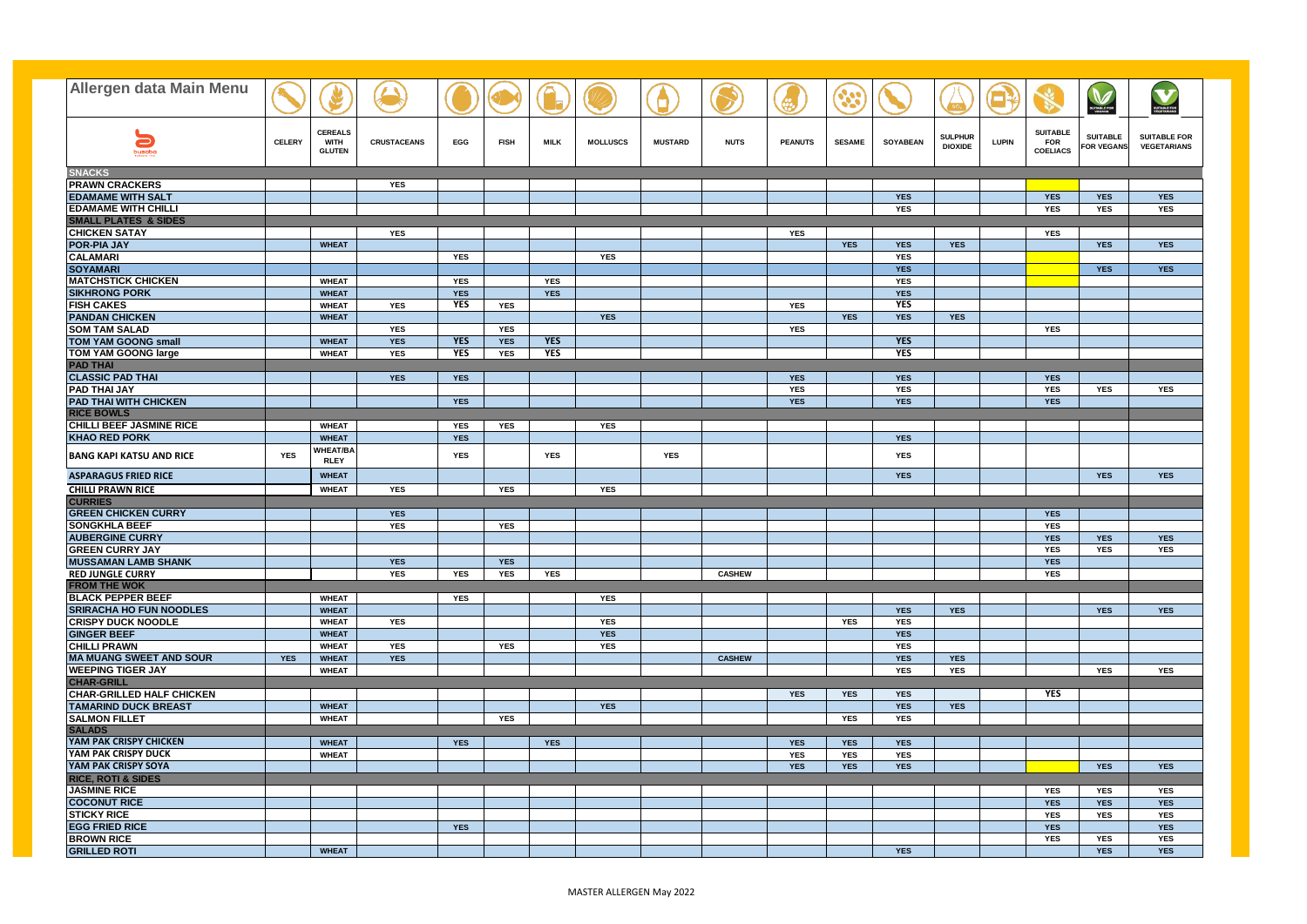| <b>Allergen data Main Menu</b>                              |               |                                |                    |            |             |            |                 |                |               |                |               |                          |                |              |                               |                               |                                        |
|-------------------------------------------------------------|---------------|--------------------------------|--------------------|------------|-------------|------------|-----------------|----------------|---------------|----------------|---------------|--------------------------|----------------|--------------|-------------------------------|-------------------------------|----------------------------------------|
|                                                             |               |                                |                    |            |             |            |                 |                |               |                |               |                          |                |              |                               |                               | V<br><b>SUITABLE FOR</b><br>VEGETABLAN |
|                                                             |               |                                |                    |            |             |            |                 |                |               |                |               |                          |                |              |                               | <b>SUITABLE FOR</b><br>VEGANS |                                        |
| $\blacksquare$                                              | <b>CELERY</b> | <b>CEREALS</b><br><b>WITH</b>  | <b>CRUSTACEANS</b> | EGG        | <b>FISH</b> | MILK       | <b>MOLLUSCS</b> | <b>MUSTARD</b> | <b>NUTS</b>   | <b>PEANUTS</b> | <b>SESAME</b> | <b>SOYABEAN</b>          | <b>SULPHUR</b> | <b>LUPIN</b> | <b>SUITABLE</b><br><b>FOR</b> | <b>SUITABLE</b>               | <b>SUITABLE FOR</b>                    |
| busaba                                                      |               | <b>GLUTEN</b>                  |                    |            |             |            |                 |                |               |                |               |                          | <b>DIOXIDE</b> |              | <b>COELIACS</b>               | <b>FOR VEGANS</b>             | <b>VEGETARIANS</b>                     |
| <b>SNACKS</b>                                               |               |                                |                    |            |             |            |                 |                |               |                |               |                          |                |              |                               |                               |                                        |
| <b>PRAWN CRACKERS</b>                                       |               |                                | <b>YES</b>         |            |             |            |                 |                |               |                |               |                          |                |              |                               |                               |                                        |
| <b>EDAMAME WITH SALT</b>                                    |               |                                |                    |            |             |            |                 |                |               |                |               | <b>YES</b>               |                |              | <b>YES</b>                    | <b>YES</b>                    | <b>YES</b>                             |
| <b>EDAMAME WITH CHILLI</b>                                  |               |                                |                    |            |             |            |                 |                |               |                |               | <b>YES</b>               |                |              | <b>YES</b>                    | <b>YES</b>                    | <b>YES</b>                             |
| <b>SMALL PLATES &amp; SIDES</b><br><b>CHICKEN SATAY</b>     |               |                                | <b>YES</b>         |            |             |            |                 |                |               | <b>YES</b>     |               |                          |                |              | <b>YES</b>                    |                               |                                        |
| <b>POR-PIA JAY</b>                                          |               | <b>WHEAT</b>                   |                    |            |             |            |                 |                |               |                | <b>YES</b>    | <b>YES</b>               | <b>YES</b>     |              |                               | <b>YES</b>                    | <b>YES</b>                             |
| <b>CALAMARI</b>                                             |               |                                |                    | <b>YES</b> |             |            | <b>YES</b>      |                |               |                |               | <b>YES</b>               |                |              |                               |                               |                                        |
| <b>SOYAMARI</b>                                             |               |                                |                    |            |             |            |                 |                |               |                |               | <b>YES</b>               |                |              |                               | <b>YES</b>                    | <b>YES</b>                             |
| <b>MATCHSTICK CHICKEN</b>                                   |               | <b>WHEAT</b>                   |                    | <b>YES</b> |             | <b>YES</b> |                 |                |               |                |               | <b>YES</b>               |                |              |                               |                               |                                        |
| <b>SIKHRONG PORK</b>                                        |               | <b>WHEAT</b>                   |                    | <b>YES</b> |             | <b>YES</b> |                 |                |               |                |               | <b>YES</b>               |                |              |                               |                               |                                        |
| <b>FISH CAKES</b>                                           |               | <b>WHEAT</b>                   | <b>YES</b>         | <b>YES</b> | <b>YES</b>  |            |                 |                |               | <b>YES</b>     |               | <b>YES</b>               |                |              |                               |                               |                                        |
| <b>PANDAN CHICKEN</b>                                       |               | <b>WHEAT</b>                   |                    |            |             |            | <b>YES</b>      |                |               |                | <b>YES</b>    | <b>YES</b>               | <b>YES</b>     |              |                               |                               |                                        |
| <b>SOM TAM SALAD</b>                                        |               |                                | <b>YES</b>         |            | <b>YES</b>  |            |                 |                |               | <b>YES</b>     |               |                          |                |              | <b>YES</b>                    |                               |                                        |
| <b>TOM YAM GOONG small</b>                                  |               | <b>WHEAT</b>                   | <b>YES</b>         | <b>YES</b> | <b>YES</b>  | <b>YES</b> |                 |                |               |                |               | <b>YES</b>               |                |              |                               |                               |                                        |
| <b>TOM YAM GOONG large</b>                                  |               | <b>WHEAT</b>                   | <b>YES</b>         | <b>YES</b> | <b>YES</b>  | <b>YES</b> |                 |                |               |                |               | <b>YES</b>               |                |              |                               |                               |                                        |
| <b>PAD THAI</b>                                             |               |                                |                    |            |             |            |                 |                |               |                |               |                          |                |              |                               |                               |                                        |
| <b>CLASSIC PAD THAI</b>                                     |               |                                | <b>YES</b>         | <b>YES</b> |             |            |                 |                |               | <b>YES</b>     |               | <b>YES</b>               |                |              | <b>YES</b>                    |                               |                                        |
| <b>PAD THAI JAY</b>                                         |               |                                |                    |            |             |            |                 |                |               | <b>YES</b>     |               | <b>YES</b>               |                |              | <b>YES</b>                    | <b>YES</b>                    | <b>YES</b>                             |
| <b>PAD THAI WITH CHICKEN</b>                                |               |                                |                    | <b>YES</b> |             |            |                 |                |               | <b>YES</b>     |               | <b>YES</b>               |                |              | <b>YES</b>                    |                               |                                        |
| <b>RICE BOWLS</b>                                           |               |                                |                    |            |             |            |                 |                |               |                |               |                          |                |              |                               |                               |                                        |
| <b>CHILLI BEEF JASMINE RICE</b>                             |               | <b>WHEAT</b>                   |                    | <b>YES</b> | <b>YES</b>  |            | <b>YES</b>      |                |               |                |               |                          |                |              |                               |                               |                                        |
| <b>KHAO RED PORK</b>                                        |               | <b>WHEAT</b>                   |                    | <b>YES</b> |             |            |                 |                |               |                |               | <b>YES</b>               |                |              |                               |                               |                                        |
| <b>BANG KAPI KATSU AND RICE</b>                             | <b>YES</b>    | <b>WHEAT/BA</b><br><b>RLEY</b> |                    | <b>YES</b> |             | YES        |                 | <b>YES</b>     |               |                |               | <b>YES</b>               |                |              |                               |                               |                                        |
| <b>ASPARAGUS FRIED RICE</b>                                 |               | <b>WHEAT</b>                   |                    |            |             |            |                 |                |               |                |               | <b>YES</b>               |                |              |                               | <b>YES</b>                    | <b>YES</b>                             |
| <b>CHILLI PRAWN RICE</b>                                    |               | <b>WHEAT</b>                   | <b>YES</b>         |            | YES         |            | <b>YES</b>      |                |               |                |               |                          |                |              |                               |                               |                                        |
| <b>CURRIES</b>                                              |               |                                |                    |            |             |            |                 |                |               |                |               |                          |                |              |                               |                               |                                        |
| <b>GREEN CHICKEN CURRY</b>                                  |               |                                | <b>YES</b>         |            |             |            |                 |                |               |                |               |                          |                |              | <b>YES</b>                    |                               |                                        |
| <b>SONGKHLA BEEF</b>                                        |               |                                | <b>YES</b>         |            | <b>YES</b>  |            |                 |                |               |                |               |                          |                |              | <b>YES</b>                    |                               |                                        |
| <b>AUBERGINE CURRY</b>                                      |               |                                |                    |            |             |            |                 |                |               |                |               |                          |                |              | <b>YES</b>                    | <b>YES</b>                    | <b>YES</b>                             |
| <b>GREEN CURRY JAY</b>                                      |               |                                |                    |            |             |            |                 |                |               |                |               |                          |                |              | <b>YES</b>                    | <b>YES</b>                    | <b>YES</b>                             |
| <b>MUSSAMAN LAMB SHANK</b>                                  |               |                                | <b>YES</b>         |            | <b>YES</b>  |            |                 |                |               |                |               |                          |                |              | <b>YES</b>                    |                               |                                        |
| <b>RED JUNGLE CURRY</b>                                     |               |                                | <b>YES</b>         | <b>YES</b> | <b>YES</b>  | <b>YES</b> |                 |                | <b>CASHEW</b> |                |               |                          |                |              | <b>YES</b>                    |                               |                                        |
| <b>FROM THE WOK</b>                                         |               |                                |                    |            |             |            |                 |                |               |                |               |                          |                |              |                               |                               |                                        |
| <b>BLACK PEPPER BEEF</b>                                    |               | <b>WHEAT</b>                   |                    | <b>YES</b> |             |            | <b>YES</b>      |                |               |                |               |                          |                |              |                               |                               |                                        |
| <b>SRIRACHA HO FUN NOODLES</b><br><b>CRISPY DUCK NOODLE</b> |               | <b>WHEAT</b><br><b>WHEAT</b>   | <b>YES</b>         |            |             |            | <b>YES</b>      |                |               |                | <b>YES</b>    | <b>YES</b><br><b>YES</b> | <b>YES</b>     |              |                               | <b>YES</b>                    | <b>YES</b>                             |
| <b>GINGER BEEF</b>                                          |               | <b>WHEAT</b>                   |                    |            |             |            | <b>YES</b>      |                |               |                |               | <b>YES</b>               |                |              |                               |                               |                                        |
| <b>CHILLI PRAWN</b>                                         |               | <b>WHEAT</b>                   | <b>YES</b>         |            | <b>YES</b>  |            | YES             |                |               |                |               | <b>YES</b>               |                |              |                               |                               |                                        |
| <b>MA MUANG SWEET AND SOUR</b>                              | <b>YES</b>    | <b>WHEAT</b>                   | <b>YES</b>         |            |             |            |                 |                | <b>CASHEW</b> |                |               | <b>YES</b>               | <b>YES</b>     |              |                               |                               |                                        |
| <b>WEEPING TIGER JAY</b>                                    |               | <b>WHEAT</b>                   |                    |            |             |            |                 |                |               |                |               | <b>YES</b>               | <b>YES</b>     |              |                               | <b>YES</b>                    | <b>YES</b>                             |
| <b>CHAR-GRILL</b>                                           |               |                                |                    |            |             |            |                 |                |               |                |               |                          |                |              |                               |                               |                                        |
| <b>CHAR-GRILLED HALF CHICKEN</b>                            |               |                                |                    |            |             |            |                 |                |               | <b>YES</b>     | <b>YES</b>    | <b>YES</b>               |                |              | <b>YES</b>                    |                               |                                        |
| <b>TAMARIND DUCK BREAST</b>                                 |               | <b>WHEAT</b>                   |                    |            |             |            | <b>YES</b>      |                |               |                |               | <b>YES</b>               | <b>YES</b>     |              |                               |                               |                                        |
| <b>SALMON FILLET</b>                                        |               | <b>WHEAT</b>                   |                    |            | <b>YES</b>  |            |                 |                |               |                | <b>YES</b>    | <b>YES</b>               |                |              |                               |                               |                                        |
| <b>SALADS</b>                                               |               |                                |                    |            |             |            |                 |                |               |                |               |                          |                |              |                               |                               |                                        |
| YAM PAK CRISPY CHICKEN                                      |               | <b>WHEAT</b>                   |                    | <b>YES</b> |             | <b>YES</b> |                 |                |               | <b>YES</b>     | <b>YES</b>    | <b>YES</b>               |                |              |                               |                               |                                        |
| YAM PAK CRISPY DUCK                                         |               | <b>WHEAT</b>                   |                    |            |             |            |                 |                |               | <b>YES</b>     | <b>YES</b>    | <b>YES</b>               |                |              |                               |                               |                                        |
| YAM PAK CRISPY SOYA                                         |               |                                |                    |            |             |            |                 |                |               | <b>YES</b>     | <b>YES</b>    | <b>YES</b>               |                |              |                               | <b>YES</b>                    | <b>YES</b>                             |
| <b>RICE, ROTI &amp; SIDES</b>                               |               |                                |                    |            |             |            |                 |                |               |                |               |                          |                |              |                               |                               |                                        |
| <b>JASMINE RICE</b>                                         |               |                                |                    |            |             |            |                 |                |               |                |               |                          |                |              | <b>YES</b>                    | <b>YES</b>                    | YES                                    |
| <b>COCONUT RICE</b>                                         |               |                                |                    |            |             |            |                 |                |               |                |               |                          |                |              | <b>YES</b>                    | <b>YES</b>                    | <b>YES</b>                             |
| <b>STICKY RICE</b>                                          |               |                                |                    |            |             |            |                 |                |               |                |               |                          |                |              | <b>YES</b>                    | <b>YES</b>                    | YES                                    |
| <b>EGG FRIED RICE</b>                                       |               |                                |                    | <b>YES</b> |             |            |                 |                |               |                |               |                          |                |              | <b>YES</b>                    |                               | <b>YES</b>                             |
| <b>BROWN RICE</b>                                           |               |                                |                    |            |             |            |                 |                |               |                |               |                          |                |              | <b>YES</b>                    | <b>YES</b>                    | <b>YES</b>                             |
| <b>GRILLED ROTI</b>                                         |               | <b>WHEAT</b>                   |                    |            |             |            |                 |                |               |                |               | <b>YES</b>               |                |              |                               | <b>YES</b>                    | <b>YES</b>                             |